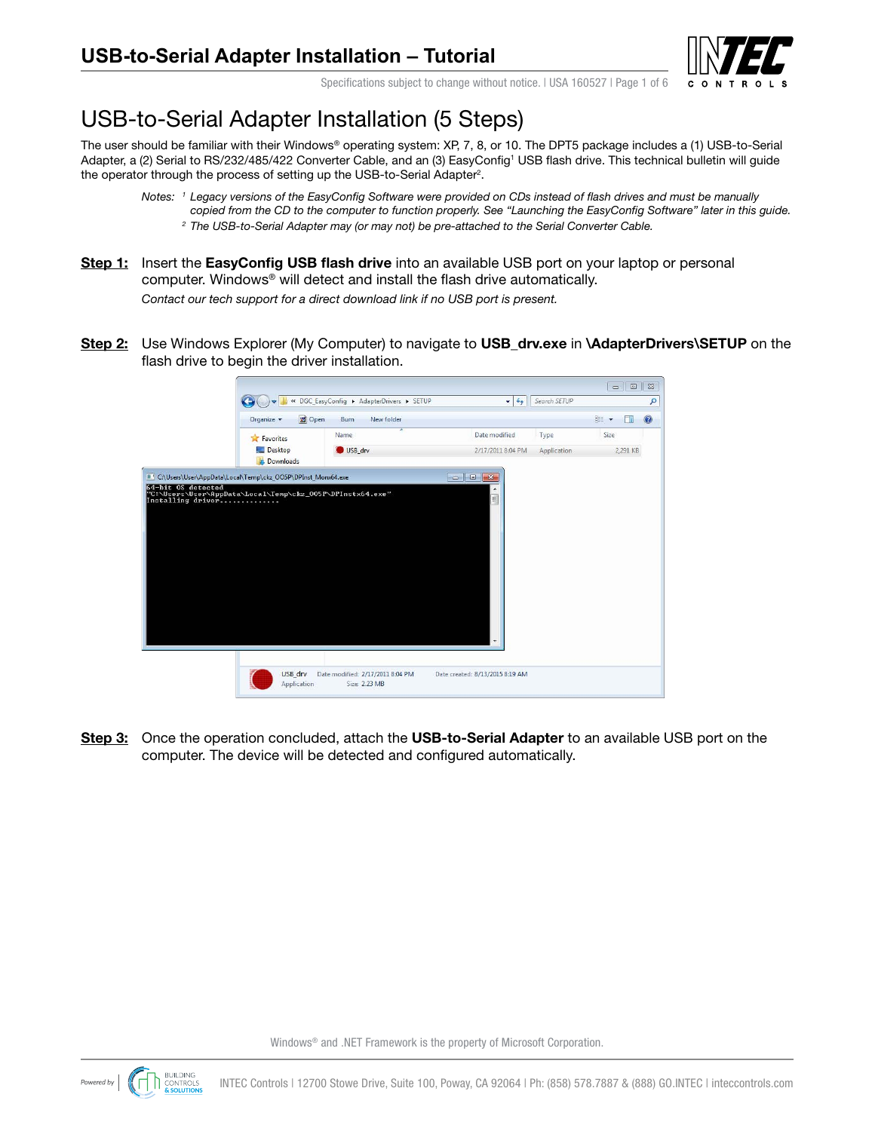

Specifications subject to change without notice. I USA 160527 I Page 1 of 6

# USB-to-Serial Adapter Installation (5 Steps)

The user should be familiar with their Windows® operating system: XP, 7, 8, or 10. The DPT5 package includes a (1) USB-to-Serial Adapter, a (2) Serial to RS/232/485/422 Converter Cable, and an (3) EasyConfig<sup>1</sup> USB flash drive. This technical bulletin will guide the operator through the process of setting up the USB-to-Serial Adapter<sup>2</sup>.

- *Notes: <sup>1</sup> Legacy versions of the EasyConfig Software were provided on CDs instead of flash drives and must be manually copied from the CD to the computer to function properly. See "Launching the EasyConfig Software" later in this guide. 2 The USB-to-Serial Adapter may (or may not) be pre-attached to the Serial Converter Cable.*
- **Step 1:** Insert the **EasyConfig USB flash drive** into an available USB port on your laptop or personal computer. Windows® will detect and install the flash drive automatically. *Contact our tech support for a direct download link if no USB port is present.*
- **Step 2:** Use Windows Explorer (My Computer) to navigate to **USB\_drv.exe** in **\AdapterDrivers\SETUP** on the flash drive to begin the driver installation.

| <b>同</b> Open<br>Organize v | New folder<br>Burn               |                   |             | <b>胜 ▼</b><br>П | $\circledcirc$ |
|-----------------------------|----------------------------------|-------------------|-------------|-----------------|----------------|
| <b>The Favorites</b>        | $\overline{\phantom{a}}$<br>Name | Date modified     | Type        | Size            |                |
| Desktop<br><b>Downloads</b> | USB drv                          | 2/17/2011 8:04 PM | Application | 2,291 KB        |                |
|                             |                                  |                   |             |                 |                |
|                             |                                  |                   |             |                 |                |

**Step 3:** Once the operation concluded, attach the **USB-to-Serial Adapter** to an available USB port on the computer. The device will be detected and configured automatically.

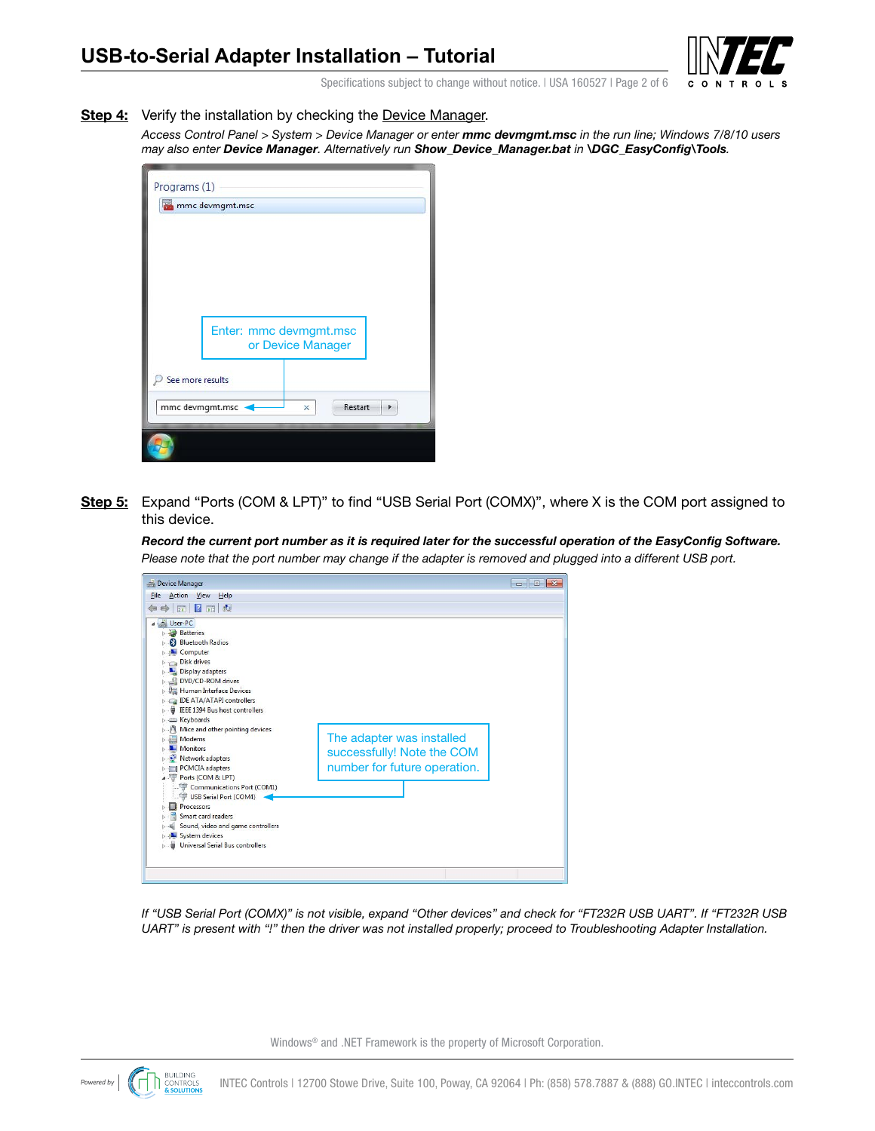

Specifications subject to change without notice. I USA 160527 I Page 2 of 6

**Step 4:** Verify the installation by checking the Device Manager.

*Access Control Panel > System > Device Manager or enter mmc devmgmt.msc in the run line; Windows 7/8/10 users may also enter Device Manager. Alternatively run Show\_Device\_Manager.bat in \DGC\_EasyConfig\Tools.*

| Programs (1)     |                                             |
|------------------|---------------------------------------------|
| mmc devmgmt.msc  |                                             |
|                  |                                             |
|                  |                                             |
|                  |                                             |
|                  |                                             |
|                  |                                             |
|                  | Enter: mmc devmgmt.msc<br>or Device Manager |
|                  |                                             |
| See more results |                                             |
| mmc devmgmt.msc  | Restart<br>×                                |
|                  |                                             |
|                  |                                             |

**Step 5:** Expand "Ports (COM & LPT)" to find "USB Serial Port (COMX)", where X is the COM port assigned to this device.

*Record the current port number as it is required later for the successful operation of the EasyConfig Software. Please note that the port number may change if the adapter is removed and plugged into a different USB port.*



*If "USB Serial Port (COMX)" is not visible, expand "Other devices" and check for "FT232R USB UART". If "FT232R USB UART" is present with "!" then the driver was not installed properly; proceed to Troubleshooting Adapter Installation.*

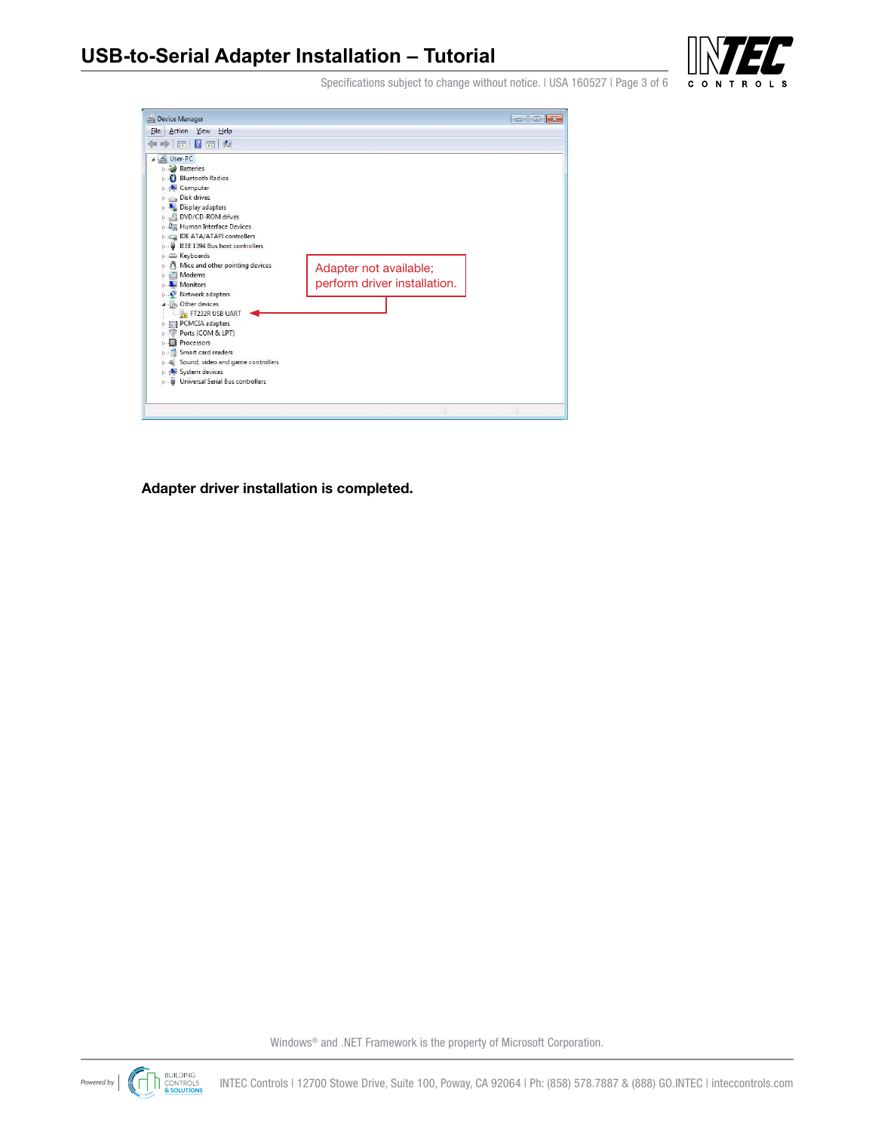

Specifications subject to change without notice. I USA 160527 | Page 3 of 6

**Adapter driver installation is completed.**



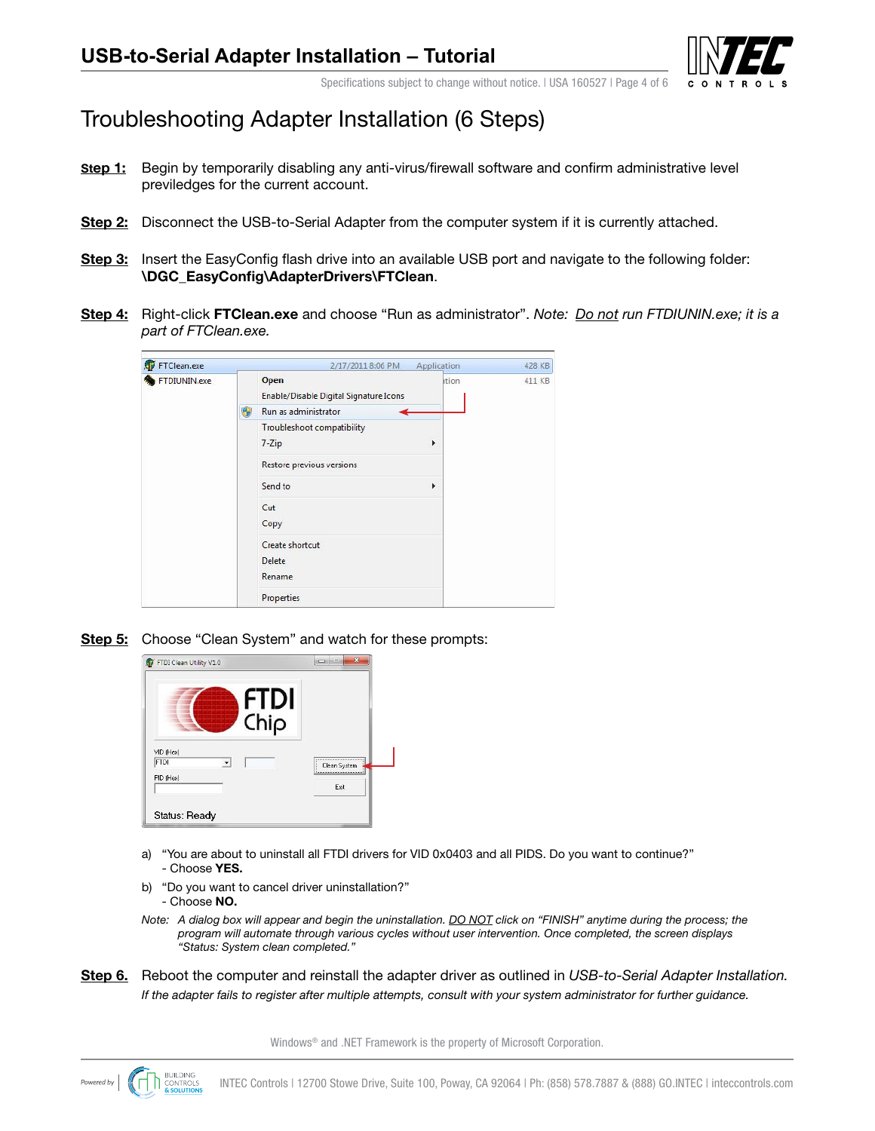

Specifications subject to change without notice. I USA 160527 I Page 4 of 6

### Troubleshooting Adapter Installation (6 Steps)

- **Step 1:** Begin by temporarily disabling any anti-virus/firewall software and confirm administrative level previledges for the current account.
- **Step 2:** Disconnect the USB-to-Serial Adapter from the computer system if it is currently attached.
- **Step 3:** Insert the EasyConfig flash drive into an available USB port and navigate to the following folder: **\DGC\_EasyConfig\AdapterDrivers\FTClean**.
- **Step 4:** Right-click **FTClean.exe** and choose "Run as administrator". *Note: Do not run FTDIUNIN.exe; it is a part of FTClean.exe.*



**Step 5:** Choose "Clean System" and watch for these prompts:



- a) "You are about to uninstall all FTDI drivers for VID 0x0403 and all PIDS. Do you want to continue?" - Choose **YES.**
- b) "Do you want to cancel driver uninstallation?" - Choose **NO.**
- *Note: A dialog box will appear and begin the uninstallation. DO NOT click on "FINISH" anytime during the process; the program will automate through various cycles without user intervention. Once completed, the screen displays "Status: System clean completed."*
- **Step 6.** Reboot the computer and reinstall the adapter driver as outlined in *USB-to-Serial Adapter Installation. If the adapter fails to register after multiple attempts, consult with your system administrator for further guidance.*

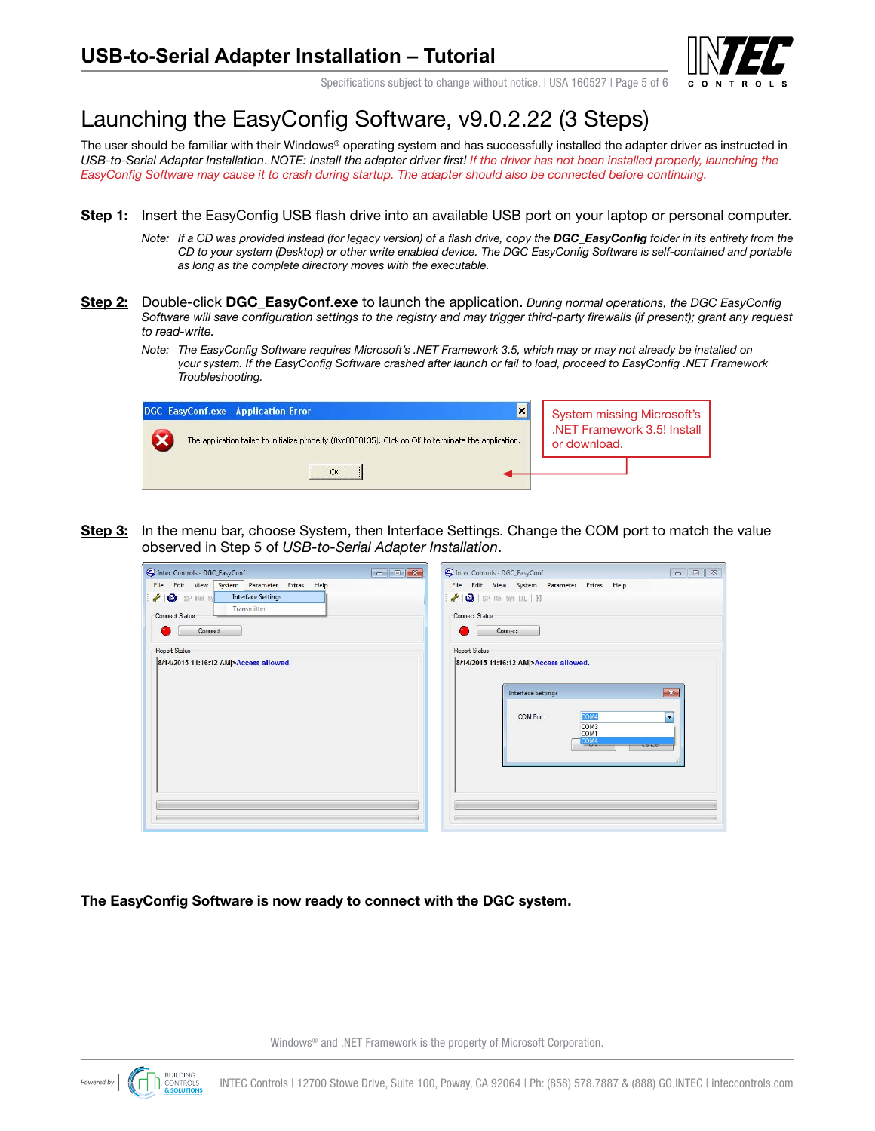

Specifications subject to change without notice. I USA 160527 I Page 5 of 6

# Launching the EasyConfig Software, v9.0.2.22 (3 Steps)

The user should be familiar with their Windows® operating system and has successfully installed the adapter driver as instructed in *USB-to-Serial Adapter Installation*. *NOTE: Install the adapter driver first! If the driver has not been installed properly, launching the EasyConfig Software may cause it to crash during startup. The adapter should also be connected before continuing.*

- **Step 1:** Insert the EasyConfig USB flash drive into an available USB port on your laptop or personal computer.
	- *Note:* If a CD was provided instead (for legacy version) of a flash drive, copy the **DGC\_EasyConfig** folder in its entirety from the *CD to your system (Desktop) or other write enabled device. The DGC EasyConfig Software is self-contained and portable as long as the complete directory moves with the executable.*
- **Step 2:** Double-click **DGC\_EasyConf.exe** to launch the application. *During normal operations, the DGC EasyConfig Software will save configuration settings to the registry and may trigger third-party firewalls (if present); grant any request to read-write.*
	- *Note: The EasyConfig Software requires Microsoft's .NET Framework 3.5, which may or may not already be installed on your system. If the EasyConfig Software crashed after launch or fail to load, proceed to EasyConfig .NET Framework Troubleshooting.*

| $\mathbf{x}$<br>DGC EasyConf.exe - Application Error                                                  |                                                                           |  |
|-------------------------------------------------------------------------------------------------------|---------------------------------------------------------------------------|--|
| The application failed to initialize properly (0xc0000135). Click on OK to terminate the application. | System missing Microsoft's<br>.NET Framework 3.5! Install<br>or download. |  |
|                                                                                                       |                                                                           |  |

**Step 3:** In the menu bar, choose System, then Interface Settings. Change the COM port to match the value observed in Step 5 of *USB-to-Serial Adapter Installation*.

| Intec Controls - DGC_EasyConf                                                                                                                                                                                | ntec Controls - DGC_EasyConf<br>$\begin{array}{c c c c c c} \hline \multicolumn{1}{c }{\mathbf{C}} & \multicolumn{1}{c }{\mathbf{X}} \end{array}$<br>23<br>$\Box$<br>$\qquad \qquad \Box$ |
|--------------------------------------------------------------------------------------------------------------------------------------------------------------------------------------------------------------|-------------------------------------------------------------------------------------------------------------------------------------------------------------------------------------------|
| File Edit View System Parameter Extras Help<br><b>Interface Settings</b><br>O SP Rel Sy<br>Transmitter<br><b>Connect Status</b><br>Connect<br><b>Report Status</b><br>8/14/2015 11:16:12 AM >Access allowed. | File Edit View System Parameter Extras Help<br>SP Rel Sys DL   M<br><b>Connect Status</b><br>Connect<br><b>Report Status</b><br>8/14/2015 11:16:12 AM >Access allowed.                    |
|                                                                                                                                                                                                              | <b>Interface Settings</b><br>$\mathbf{x}$<br>COM4<br>COM Port:<br>÷<br>COM <sub>3</sub><br>COM1<br>$\frac{\text{COM4}}{\text{OM}}$<br>CONTOCH                                             |

**The EasyConfig Software is now ready to connect with the DGC system.**